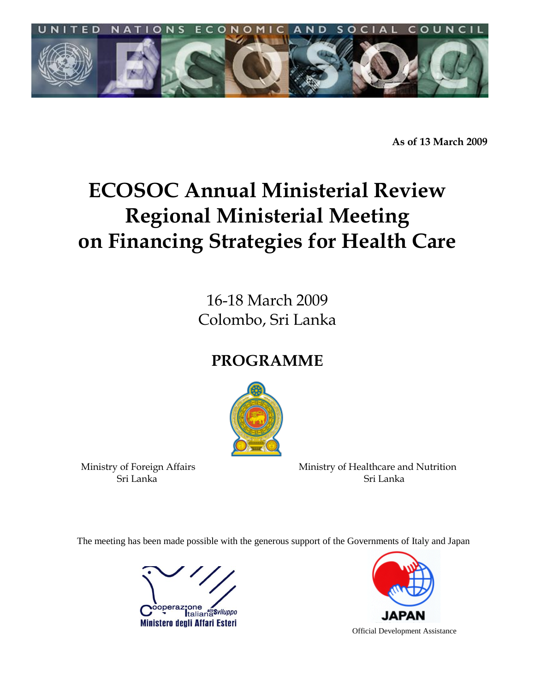

**As of 13 March 2009**

# **ECOSOC Annual Ministerial Review Regional Ministerial Meeting on Financing Strategies for Health Care**

16-18 March 2009 Colombo, Sri Lanka

## **PROGRAMME**



eri Lanka Sri Lanka Sri Lanka Sri Lanka Sri Lanka Sri Lanka Sri Lanka Sri Lanka Sri Lanka Sri Lanka

Ministry of Foreign Affairs Ministry of Healthcare and Nutrition

The meeting has been made possible with the generous support of the Governments of Italy and Japan





Official Development Assistance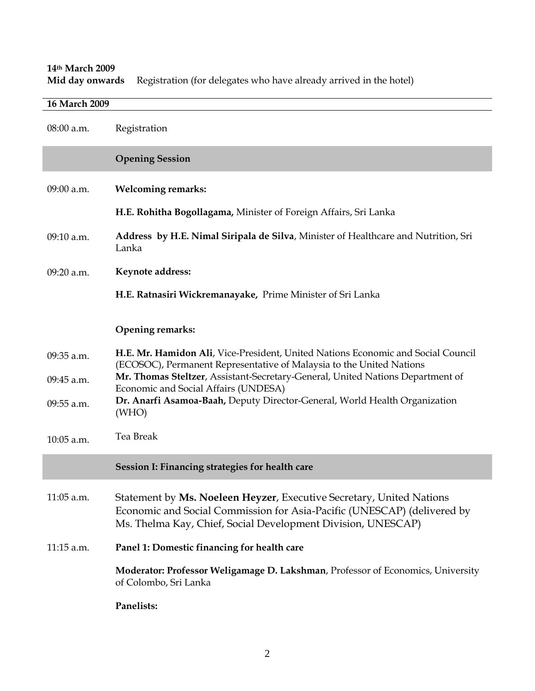**14th March 2009** Registration (for delegates who have already arrived in the hotel)

| 16 March 2009 |                                                                                                                                                                                                                 |  |  |
|---------------|-----------------------------------------------------------------------------------------------------------------------------------------------------------------------------------------------------------------|--|--|
| $08:00$ a.m.  | Registration                                                                                                                                                                                                    |  |  |
|               | <b>Opening Session</b>                                                                                                                                                                                          |  |  |
| $09:00$ a.m.  | <b>Welcoming remarks:</b>                                                                                                                                                                                       |  |  |
|               | H.E. Rohitha Bogollagama, Minister of Foreign Affairs, Sri Lanka                                                                                                                                                |  |  |
| 09:10 a.m.    | Address by H.E. Nimal Siripala de Silva, Minister of Healthcare and Nutrition, Sri<br>Lanka                                                                                                                     |  |  |
| 09:20 a.m.    | Keynote address:                                                                                                                                                                                                |  |  |
|               | H.E. Ratnasiri Wickremanayake, Prime Minister of Sri Lanka                                                                                                                                                      |  |  |
|               | <b>Opening remarks:</b>                                                                                                                                                                                         |  |  |
| 09:35 a.m.    | H.E. Mr. Hamidon Ali, Vice-President, United Nations Economic and Social Council<br>(ECOSOC), Permanent Representative of Malaysia to the United Nations                                                        |  |  |
| 09:45 a.m.    | Mr. Thomas Steltzer, Assistant-Secretary-General, United Nations Department of<br>Economic and Social Affairs (UNDESA)                                                                                          |  |  |
| 09:55 a.m.    | Dr. Anarfi Asamoa-Baah, Deputy Director-General, World Health Organization<br>(WHO)                                                                                                                             |  |  |
| 10:05 a.m.    | Tea Break                                                                                                                                                                                                       |  |  |
|               | Session I: Financing strategies for health care                                                                                                                                                                 |  |  |
| 11:05 a.m.    | Statement by Ms. Noeleen Heyzer, Executive Secretary, United Nations<br>Economic and Social Commission for Asia-Pacific (UNESCAP) (delivered by<br>Ms. Thelma Kay, Chief, Social Development Division, UNESCAP) |  |  |
| 11:15 a.m.    | Panel 1: Domestic financing for health care                                                                                                                                                                     |  |  |
|               | Moderator: Professor Weligamage D. Lakshman, Professor of Economics, University<br>of Colombo, Sri Lanka                                                                                                        |  |  |
|               | Panelists:                                                                                                                                                                                                      |  |  |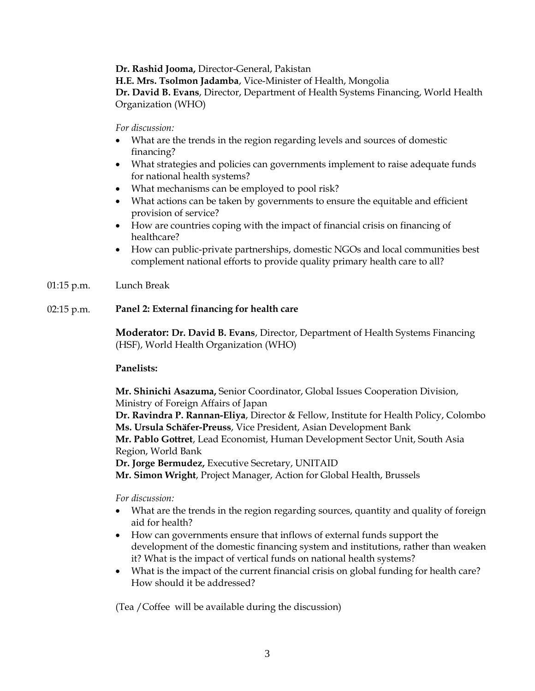**Dr. Rashid Jooma,** Director-General, Pakistan

**H.E. Mrs. Tsolmon Jadamba**, Vice-Minister of Health, Mongolia

**Dr. David B. Evans**, Director, Department of Health Systems Financing, World Health Organization (WHO)

*For discussion:* 

- What are the trends in the region regarding levels and sources of domestic financing?
- What strategies and policies can governments implement to raise adequate funds for national health systems?
- What mechanisms can be employed to pool risk?
- What actions can be taken by governments to ensure the equitable and efficient provision of service?
- How are countries coping with the impact of financial crisis on financing of healthcare?
- How can public-private partnerships, domestic NGOs and local communities best complement national efforts to provide quality primary health care to all?
- 01:15 p.m. Lunch Break

### 02:15 p.m. **Panel 2: External financing for health care**

**Moderator: Dr. David B. Evans**, Director, Department of Health Systems Financing (HSF), World Health Organization (WHO)

#### **Panelists:**

**Mr. Shinichi Asazuma,** Senior Coordinator, Global Issues Cooperation Division, Ministry of Foreign Affairs of Japan

**Dr. Ravindra P. Rannan-Eliya**, Director & Fellow, Institute for Health Policy, Colombo **Ms. Ursula Schäfer-Preuss**, Vice President, Asian Development Bank **Mr. Pablo Gottret**, Lead Economist, Human Development Sector Unit, South Asia

Region, World Bank

**Dr. Jorge Bermudez,** Executive Secretary, UNITAID

**Mr. Simon Wright**, Project Manager, Action for Global Health, Brussels

*For discussion:* 

- What are the trends in the region regarding sources, quantity and quality of foreign aid for health?
- How can governments ensure that inflows of external funds support the development of the domestic financing system and institutions, rather than weaken it? What is the impact of vertical funds on national health systems?
- What is the impact of the current financial crisis on global funding for health care? How should it be addressed?

(Tea /Coffee will be available during the discussion)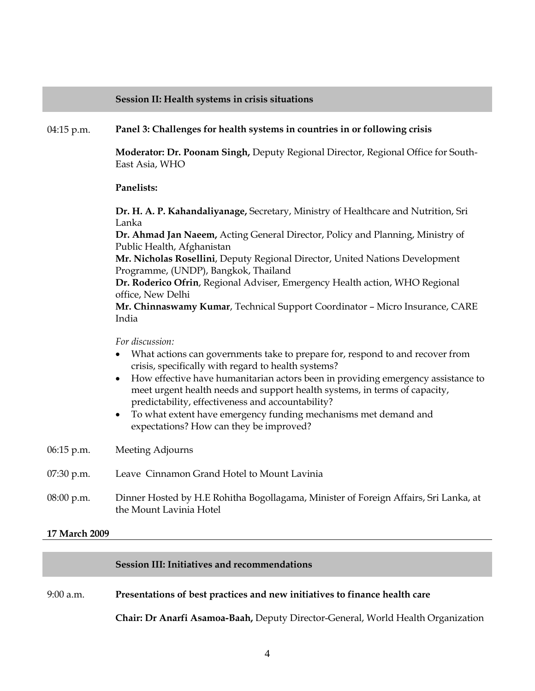#### **Session II: Health systems in crisis situations**

#### 04:15 p.m. **Panel 3: Challenges for health systems in countries in or following crisis**

**Moderator: Dr. Poonam Singh,** Deputy Regional Director, Regional Office for South-East Asia, WHO

#### **Panelists:**

**Dr. H. A. P. Kahandaliyanage,** Secretary, Ministry of Healthcare and Nutrition, Sri Lanka

**Dr. Ahmad Jan Naeem,** Acting General Director, Policy and Planning, Ministry of Public Health, Afghanistan

**Mr. Nicholas Rosellini**, Deputy Regional Director, United Nations Development Programme, (UNDP), Bangkok, Thailand

**Dr. Roderico Ofrin**, Regional Adviser, Emergency Health action, WHO Regional office, New Delhi

**Mr. Chinnaswamy Kumar**, Technical Support Coordinator – Micro Insurance, CARE India

*For discussion:* 

- What actions can governments take to prepare for, respond to and recover from crisis, specifically with regard to health systems?
- How effective have humanitarian actors been in providing emergency assistance to meet urgent health needs and support health systems, in terms of capacity, predictability, effectiveness and accountability?
- To what extent have emergency funding mechanisms met demand and expectations? How can they be improved?

06:15 p.m. Meeting Adjourns

- 07:30 p.m. Leave Cinnamon Grand Hotel to Mount Lavinia
- 08:00 p.m. Dinner Hosted by H.E Rohitha Bogollagama, Minister of Foreign Affairs, Sri Lanka, at the Mount Lavinia Hotel

#### **17 March 2009**

#### **Session III: Initiatives and recommendations**

#### 9:00 a.m. **Presentations of best practices and new initiatives to finance health care**

**Chair: Dr Anarfi Asamoa-Baah,** Deputy Director-General, World Health Organization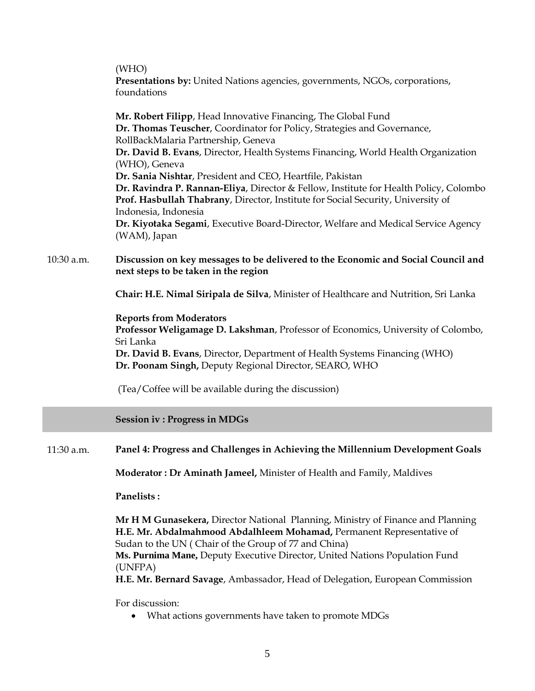|            | (WHO)<br>Presentations by: United Nations agencies, governments, NGOs, corporations,<br>foundations                                                                                                                                                                                                                                                                                                                                                                                                                                                                                                                                                          |
|------------|--------------------------------------------------------------------------------------------------------------------------------------------------------------------------------------------------------------------------------------------------------------------------------------------------------------------------------------------------------------------------------------------------------------------------------------------------------------------------------------------------------------------------------------------------------------------------------------------------------------------------------------------------------------|
|            | Mr. Robert Filipp, Head Innovative Financing, The Global Fund<br>Dr. Thomas Teuscher, Coordinator for Policy, Strategies and Governance,<br>RollBackMalaria Partnership, Geneva<br>Dr. David B. Evans, Director, Health Systems Financing, World Health Organization<br>(WHO), Geneva<br>Dr. Sania Nishtar, President and CEO, Heartfile, Pakistan<br>Dr. Ravindra P. Rannan-Eliya, Director & Fellow, Institute for Health Policy, Colombo<br>Prof. Hasbullah Thabrany, Director, Institute for Social Security, University of<br>Indonesia, Indonesia<br>Dr. Kiyotaka Segami, Executive Board-Director, Welfare and Medical Service Agency<br>(WAM), Japan |
| 10:30 a.m. | Discussion on key messages to be delivered to the Economic and Social Council and<br>next steps to be taken in the region                                                                                                                                                                                                                                                                                                                                                                                                                                                                                                                                    |
|            | Chair: H.E. Nimal Siripala de Silva, Minister of Healthcare and Nutrition, Sri Lanka                                                                                                                                                                                                                                                                                                                                                                                                                                                                                                                                                                         |
|            | <b>Reports from Moderators</b><br>Professor Weligamage D. Lakshman, Professor of Economics, University of Colombo,<br>Sri Lanka<br><b>Dr. David B. Evans, Director, Department of Health Systems Financing (WHO)</b><br>Dr. Poonam Singh, Deputy Regional Director, SEARO, WHO<br>(Tea/Coffee will be available during the discussion)                                                                                                                                                                                                                                                                                                                       |
|            | <b>Session iv: Progress in MDGs</b>                                                                                                                                                                                                                                                                                                                                                                                                                                                                                                                                                                                                                          |
| 11:30 a.m. | Panel 4: Progress and Challenges in Achieving the Millennium Development Goals                                                                                                                                                                                                                                                                                                                                                                                                                                                                                                                                                                               |
|            | Moderator: Dr Aminath Jameel, Minister of Health and Family, Maldives                                                                                                                                                                                                                                                                                                                                                                                                                                                                                                                                                                                        |
|            | Panelists:                                                                                                                                                                                                                                                                                                                                                                                                                                                                                                                                                                                                                                                   |
|            | Mr H M Gunasekera, Director National Planning, Ministry of Finance and Planning<br>H.E. Mr. Abdalmahmood Abdalhleem Mohamad, Permanent Representative of<br>Sudan to the UN (Chair of the Group of 77 and China)<br>Ms. Purnima Mane, Deputy Executive Director, United Nations Population Fund<br>(UNFPA)<br>H.E. Mr. Bernard Savage, Ambassador, Head of Delegation, European Commission                                                                                                                                                                                                                                                                   |
|            | For discussion:                                                                                                                                                                                                                                                                                                                                                                                                                                                                                                                                                                                                                                              |

What actions governments have taken to promote MDGs